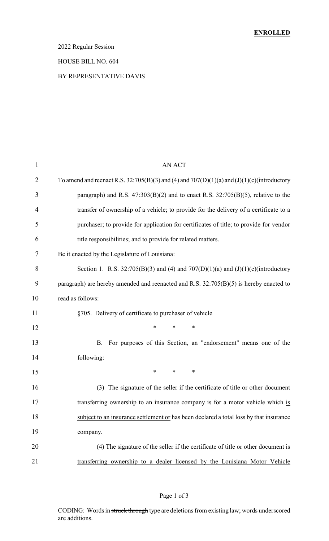### 2022 Regular Session

#### HOUSE BILL NO. 604

### BY REPRESENTATIVE DAVIS

| $\mathbf{1}$   | <b>AN ACT</b>                                                                              |
|----------------|--------------------------------------------------------------------------------------------|
| $\overline{2}$ | To amend and reenact R.S. 32:705(B)(3) and (4) and 707(D)(1)(a) and (J)(1)(c)(introductory |
| 3              | paragraph) and R.S. $47:303(B)(2)$ and to enact R.S. $32:705(B)(5)$ , relative to the      |
| $\overline{4}$ | transfer of ownership of a vehicle; to provide for the delivery of a certificate to a      |
| 5              | purchaser; to provide for application for certificates of title; to provide for vendor     |
| 6              | title responsibilities; and to provide for related matters.                                |
| 7              | Be it enacted by the Legislature of Louisiana:                                             |
| 8              | Section 1. R.S. 32:705(B)(3) and (4) and 707(D)(1)(a) and (J)(1)(c)(introductory           |
| 9              | paragraph) are hereby amended and reenacted and R.S. $32:705(B)(5)$ is hereby enacted to   |
| 10             | read as follows:                                                                           |
| 11             | §705. Delivery of certificate to purchaser of vehicle                                      |
| 12             | $\ast$<br>*<br>*                                                                           |
| 13             | For purposes of this Section, an "endorsement" means one of the<br><b>B.</b>               |
| 14             | following:                                                                                 |
| 15             | $\ast$<br>$\ast$<br>$\ast$                                                                 |
| 16             | (3) The signature of the seller if the certificate of title or other document              |
| 17             | transferring ownership to an insurance company is for a motor vehicle which is             |
| 18             | subject to an insurance settlement or has been declared a total loss by that insurance     |
| 19             | company.                                                                                   |
| 20             | (4) The signature of the seller if the certificate of title or other document is           |
| 21             | transferring ownership to a dealer licensed by the Louisiana Motor Vehicle                 |

### Page 1 of 3

CODING: Words in struck through type are deletions from existing law; words underscored are additions.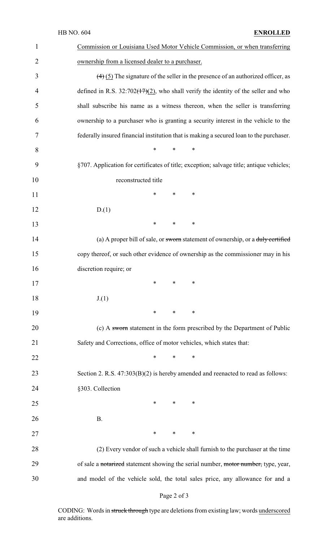|                | HB NO. 604<br><b>ENROLLED</b>                                                                       |
|----------------|-----------------------------------------------------------------------------------------------------|
| $\mathbf{1}$   | Commission or Louisiana Used Motor Vehicle Commission, or when transferring                         |
| $\overline{2}$ | ownership from a licensed dealer to a purchaser.                                                    |
| 3              | $\left(\frac{4}{5}\right)$ The signature of the seller in the presence of an authorized officer, as |
| 4              | defined in R.S. $32:702(17)(2)$ , who shall verify the identity of the seller and who               |
| 5              | shall subscribe his name as a witness thereon, when the seller is transferring                      |
| 6              | ownership to a purchaser who is granting a security interest in the vehicle to the                  |
| 7              | federally insured financial institution that is making a secured loan to the purchaser.             |
| 8              | *<br>*<br>∗                                                                                         |
| 9              | §707. Application for certificates of title; exception; salvage title; antique vehicles;            |
| 10             | reconstructed title                                                                                 |
| 11             | ∗<br>*<br>∗                                                                                         |
| 12             | D(1)                                                                                                |
| 13             | *<br>*<br>∗                                                                                         |
| 14             | (a) A proper bill of sale, or sworn statement of ownership, or a duly certified                     |
| 15             | copy thereof, or such other evidence of ownership as the commissioner may in his                    |
| 16             | discretion require; or                                                                              |
| 17             | *<br>∗<br>∗                                                                                         |
| 18             | J(1)                                                                                                |
| 19             | ∗<br>∗<br>∗                                                                                         |
| 20             | (c) A sworm statement in the form prescribed by the Department of Public                            |
| 21             | Safety and Corrections, office of motor vehicles, which states that:                                |
| 22             | ∗<br>∗<br>$\ast$                                                                                    |
| 23             | Section 2. R.S. $47:303(B)(2)$ is hereby amended and reenacted to read as follows:                  |
| 24             | §303. Collection                                                                                    |
| 25             | ∗<br>∗<br>∗                                                                                         |
| 26             | <b>B.</b>                                                                                           |
| 27             | ∗<br>∗<br>∗                                                                                         |
| 28             | (2) Every vendor of such a vehicle shall furnish to the purchaser at the time                       |
| 29             | of sale a notarized statement showing the serial number, motor number, type, year,                  |
| 30             | and model of the vehicle sold, the total sales price, any allowance for and a                       |

# Page 2 of 3

CODING: Words in struck through type are deletions from existing law; words underscored are additions.